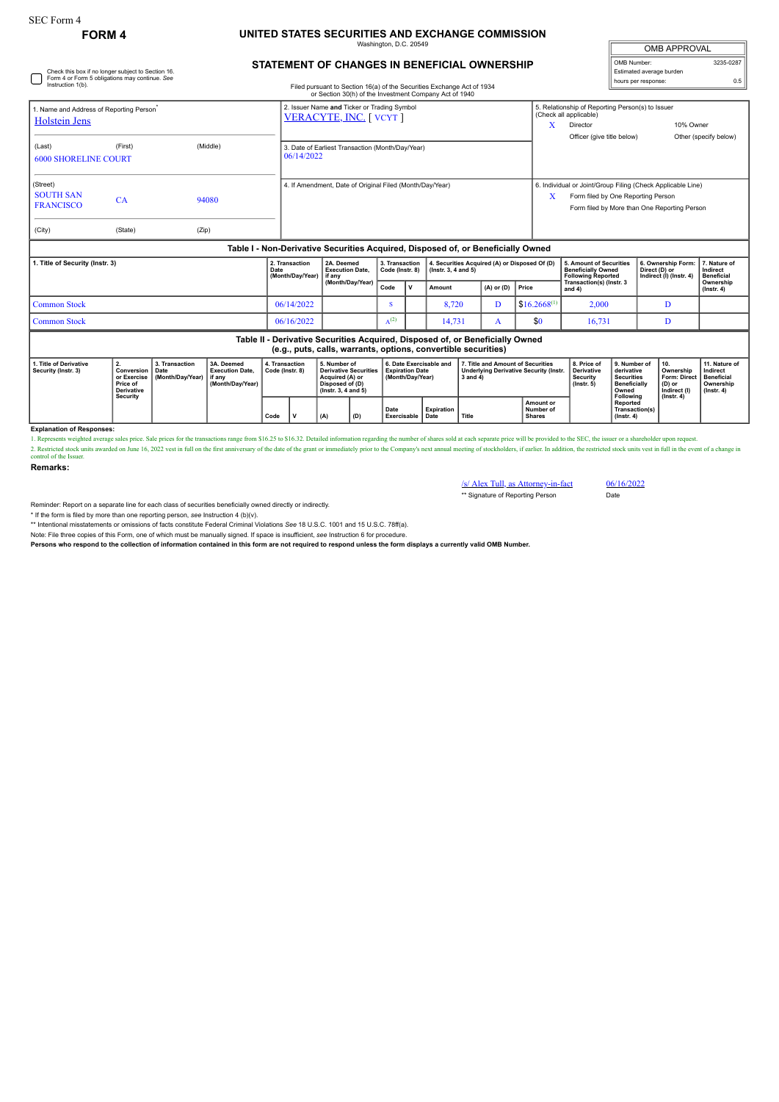Check this box if no longer subject to Section 16. Form 4 or Form 5 obligations may continue. *See*

## **FORM 4 UNITED STATES SECURITIES AND EXCHANGE COMMISSION** maton, D.C. 20

| <b>OMB APPROVAL</b>      |           |  |  |  |  |  |  |  |
|--------------------------|-----------|--|--|--|--|--|--|--|
| OMB Number:              | 3235-0287 |  |  |  |  |  |  |  |
| Estimated average burden |           |  |  |  |  |  |  |  |
| hours per response:      | ሰ 5       |  |  |  |  |  |  |  |

## **STATEMENT OF CHANGES IN BENEFICIAL OWNERSHIP**

| Instruction 1(b).                                               |                                                                                                                                                 |                                            |                                                                                  |                                    |                                                                      |                                      |                                                                                                           |           |                                                                            | Filed pursuant to Section 16(a) of the Securities Exchange Act of 1934<br>or Section 30(h) of the Investment Company Act of 1940 |                                                                                                     |                |                                                                                   |                                                                                                                                                        |                                                                                              | noare per reepenee                            |                                                                                |                                                                                 |  |
|-----------------------------------------------------------------|-------------------------------------------------------------------------------------------------------------------------------------------------|--------------------------------------------|----------------------------------------------------------------------------------|------------------------------------|----------------------------------------------------------------------|--------------------------------------|-----------------------------------------------------------------------------------------------------------|-----------|----------------------------------------------------------------------------|----------------------------------------------------------------------------------------------------------------------------------|-----------------------------------------------------------------------------------------------------|----------------|-----------------------------------------------------------------------------------|--------------------------------------------------------------------------------------------------------------------------------------------------------|----------------------------------------------------------------------------------------------|-----------------------------------------------|--------------------------------------------------------------------------------|---------------------------------------------------------------------------------|--|
| 1. Name and Address of Reporting Person<br><b>Holstein Jens</b> |                                                                                                                                                 |                                            |                                                                                  |                                    | 2. Issuer Name and Ticker or Trading Symbol<br>VERACYTE, INC. [VCYT] |                                      |                                                                                                           |           |                                                                            |                                                                                                                                  |                                                                                                     |                |                                                                                   | 5. Relationship of Reporting Person(s) to Issuer<br>(Check all applicable)<br>x<br>Director                                                            |                                                                                              |                                               | 10% Owner                                                                      |                                                                                 |  |
| (First)<br>(Middle)<br>(Last)<br><b>6000 SHORELINE COURT</b>    |                                                                                                                                                 |                                            |                                                                                  |                                    | 3. Date of Earliest Transaction (Month/Day/Year)<br>06/14/2022       |                                      |                                                                                                           |           |                                                                            |                                                                                                                                  |                                                                                                     |                |                                                                                   | Officer (give title below)                                                                                                                             |                                                                                              |                                               |                                                                                | Other (specify below)                                                           |  |
| (Street)<br><b>SOUTH SAN</b><br><b>FRANCISCO</b><br>(City)      | CA<br>(State)                                                                                                                                   | (Zip)                                      | 94080                                                                            |                                    | 4. If Amendment, Date of Original Filed (Month/Day/Year)             |                                      |                                                                                                           |           |                                                                            |                                                                                                                                  |                                                                                                     |                |                                                                                   | 6. Individual or Joint/Group Filing (Check Applicable Line)<br>Form filed by One Reporting Person<br>x<br>Form filed by More than One Reporting Person |                                                                                              |                                               |                                                                                |                                                                                 |  |
|                                                                 |                                                                                                                                                 |                                            | Table I - Non-Derivative Securities Acquired, Disposed of, or Beneficially Owned |                                    |                                                                      |                                      |                                                                                                           |           |                                                                            |                                                                                                                                  |                                                                                                     |                |                                                                                   |                                                                                                                                                        |                                                                                              |                                               |                                                                                |                                                                                 |  |
| 1. Title of Security (Instr. 3)                                 |                                                                                                                                                 |                                            | Date                                                                             | 2. Transaction<br>(Month/Day/Year) |                                                                      | 2A. Deemed<br><b>Execution Date,</b> | 3. Transaction<br>Code (Instr. 8)                                                                         |           | 4. Securities Acquired (A) or Disposed Of (D)<br>$($ lnstr. 3, 4 and 5 $)$ |                                                                                                                                  |                                                                                                     |                | 5. Amount of Securities<br><b>Beneficially Owned</b><br><b>Following Reported</b> |                                                                                                                                                        | 6. Ownership Form:<br>Direct (D) or<br>Indirect (I) (Instr. 4)                               | 7. Nature of<br>Indirect<br><b>Beneficial</b> |                                                                                |                                                                                 |  |
|                                                                 |                                                                                                                                                 |                                            |                                                                                  |                                    |                                                                      |                                      | (Month/Day/Year)                                                                                          |           | <b>v</b>                                                                   | Amount                                                                                                                           |                                                                                                     | $(A)$ or $(D)$ | Price                                                                             | Transaction(s) (Instr. 3<br>and $4$ )                                                                                                                  |                                                                                              |                                               | Ownership<br>$($ Instr. 4 $)$                                                  |                                                                                 |  |
| <b>Common Stock</b>                                             |                                                                                                                                                 |                                            |                                                                                  |                                    | 06/14/2022                                                           |                                      |                                                                                                           | s         |                                                                            | 8.720                                                                                                                            |                                                                                                     | D              | $$16,2668^{(1)}$                                                                  | 2.000                                                                                                                                                  |                                                                                              | D                                             |                                                                                |                                                                                 |  |
| <b>Common Stock</b>                                             |                                                                                                                                                 |                                            |                                                                                  |                                    | 06/16/2022                                                           |                                      |                                                                                                           | $A^{(2)}$ |                                                                            | 14,731                                                                                                                           |                                                                                                     | $\mathbf{A}$   | \$0                                                                               | 16,731                                                                                                                                                 |                                                                                              | D                                             |                                                                                |                                                                                 |  |
|                                                                 | Table II - Derivative Securities Acquired, Disposed of, or Beneficially Owned<br>(e.g., puts, calls, warrants, options, convertible securities) |                                            |                                                                                  |                                    |                                                                      |                                      |                                                                                                           |           |                                                                            |                                                                                                                                  |                                                                                                     |                |                                                                                   |                                                                                                                                                        |                                                                                              |                                               |                                                                                |                                                                                 |  |
| 1. Title of Derivative<br>Security (Instr. 3)                   | 2.<br>Conversion<br>or Exercise<br>Price of<br><b>Derivative</b><br><b>Security</b>                                                             | 3. Transaction<br>Date<br>(Month/Dav/Year) | 3A. Deemed<br><b>Execution Date,</b><br>if any<br>(Month/Day/Year)               |                                    | 4. Transaction<br>Code (Instr. 8)                                    |                                      | 5. Number of<br><b>Derivative Securities</b><br>Acquired (A) or<br>Disposed of (D)<br>(Instr. 3, 4 and 5) |           | 6. Date Exercisable and<br><b>Expiration Date</b><br>(Month/Dav/Year)      |                                                                                                                                  | 7. Title and Amount of Securities<br><b>Underlying Derivative Security (Instr.</b><br>$3$ and $4$ ) |                |                                                                                   | 8. Price of<br>Derivative<br>Security<br>$($ lnstr. 5 $)$                                                                                              | 9. Number of<br>derivative<br><b>Securities</b><br><b>Beneficially</b><br>Owned<br>Following |                                               | 10.<br>Ownership<br>Form: Direct<br>(D) or<br>Indirect (I)<br>$($ lnstr. 4 $)$ | 11. Nature of<br>Indirect<br><b>Beneficial</b><br>Ownership<br>$($ Instr. 4 $)$ |  |
|                                                                 |                                                                                                                                                 |                                            |                                                                                  | Code                               | v<br>(A)                                                             | (D)                                  | Date<br>Exercisable                                                                                       |           | Expiration<br><b>Title</b><br>Date                                         |                                                                                                                                  | Amount or<br>Number of<br><b>Shares</b>                                                             |                | Reported<br>$($ lnstr. 4 $)$                                                      | Transaction(s)                                                                                                                                         |                                                                                              |                                               |                                                                                |                                                                                 |  |
| <b>Explanation of Responses:</b>                                |                                                                                                                                                 |                                            |                                                                                  |                                    |                                                                      |                                      |                                                                                                           |           |                                                                            |                                                                                                                                  |                                                                                                     |                |                                                                                   |                                                                                                                                                        |                                                                                              |                                               |                                                                                |                                                                                 |  |

1. Represents weighted average sales price. Sale prices for the transactions range from \$16.25 to \$16.32. Detailed information regarding the number of shares sold at each separate price will be provided to the SEC, the iss 1. Represents weighted average sales price. Sale prices for the transactions range from \$16.25 to \$16.32. Detailed information regarding the number of shares sold at each separate price will be provided to the SEC, the iss

**Remarks:**

/s/ Alex Tull, as Attorney-in-fact 06/16/2022 \*\* Signature of Reporting Person Date

Reminder: Report on a separate line for each class of securities beneficially owned directly or indirectly.

\* If the form is filed by more than one reporting person, *see* Instruction 4 (b)(v).

\*\* Intentional misstatements or omissions of facts constitute Federal Criminal Violations See 18 U.S.C. 1001 and 15 U.S.C. 78ff(a).<br>Note: File three copies of this Form, one of which must be manually signed is insufficient